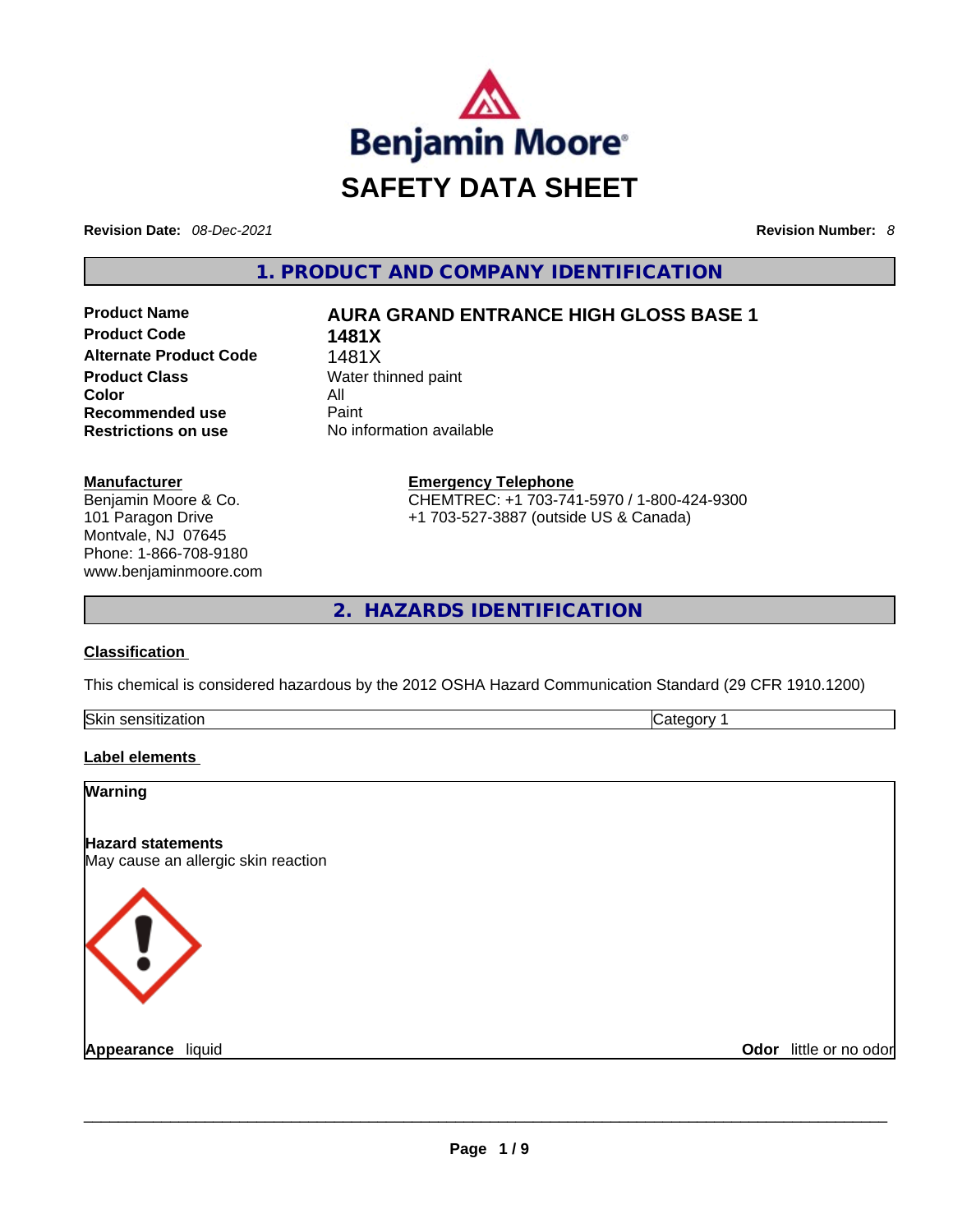

**Revision Date:** *08-Dec-2021* **Revision Number:** *8*

**1. PRODUCT AND COMPANY IDENTIFICATION** 

**Product Code 1481X Alternate Product Code** 1481X **Product Class Water thinned paint Color** All<br> **Recommended use** Paint **Recommended use Restrictions on use** No information available

### **Product Name AURA GRAND ENTRANCE HIGH GLOSS BASE 1**

**Manufacturer** Benjamin Moore & Co. 101 Paragon Drive Montvale, NJ 07645 Phone: 1-866-708-9180 www.benjaminmoore.com **Emergency Telephone** CHEMTREC: +1 703-741-5970 / 1-800-424-9300 +1 703-527-3887 (outside US & Canada)

**2. HAZARDS IDENTIFICATION** 

#### **Classification**

This chemical is considered hazardous by the 2012 OSHA Hazard Communication Standard (29 CFR 1910.1200)

| Skin<br>--<br>$\cdots$ | . . |
|------------------------|-----|
|                        |     |

#### **Label elements**

# **Warning Hazard statements** May cause an allergic skin reaction **Appearance** liquid **and a construction of the construction of the construction of the construction of the construction of the construction of the construction of the construction of the construction of the construction of Odor** little or no odor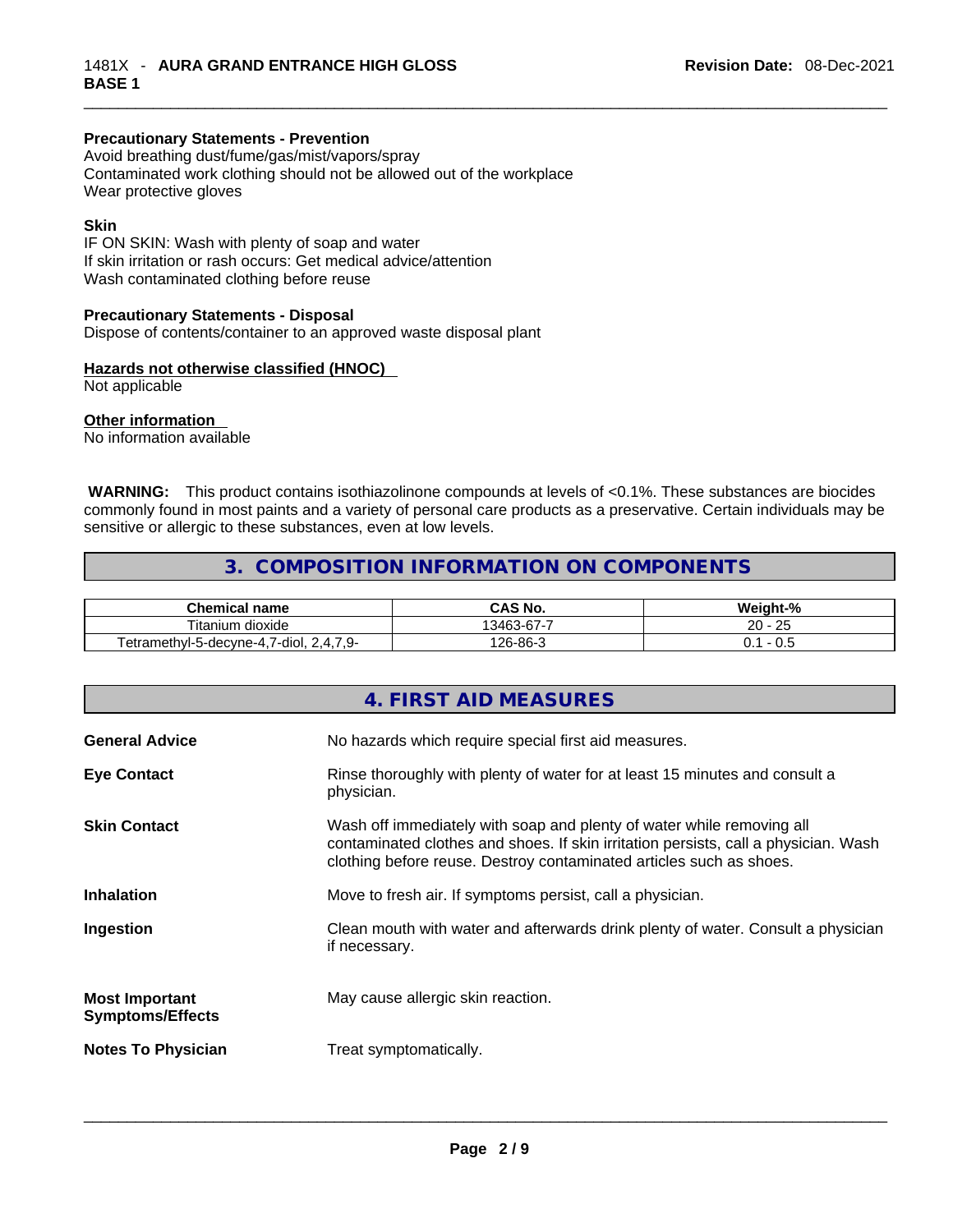#### **Precautionary Statements - Prevention**

Avoid breathing dust/fume/gas/mist/vapors/spray Contaminated work clothing should not be allowed out of the workplace Wear protective gloves

#### **Skin**

IF ON SKIN: Wash with plenty of soap and water If skin irritation or rash occurs: Get medical advice/attention Wash contaminated clothing before reuse

#### **Precautionary Statements - Disposal**

Dispose of contents/container to an approved waste disposal plant

#### **Hazards not otherwise classified (HNOC)**

Not applicable

#### **Other information**

No information available

**WARNING:** This product contains isothiazolinone compounds at levels of <0.1%. These substances are biocides commonly found in most paints and a variety of personal care products as a preservative. Certain individuals may be sensitive or allergic to these substances, even at low levels.

#### **3. COMPOSITION INFORMATION ON COMPONENTS**

| Chemical<br>name                                                                             | $\mathsf{\cap}$ AS No. | Weight-%       |
|----------------------------------------------------------------------------------------------|------------------------|----------------|
| --<br><br>dioxide<br>litanium                                                                | 13463-67-7             | つに<br>20<br>نت |
| $\cdots$<br>$\overline{\phantom{a}}$<br>24.<br>-diol.<br>etramethyl-5-decyne-4,<br>u.<br>. . | 26-86-3                | ∪.⊾            |

|                                                  | 4. FIRST AID MEASURES                                                                                                                                                                                                               |
|--------------------------------------------------|-------------------------------------------------------------------------------------------------------------------------------------------------------------------------------------------------------------------------------------|
| <b>General Advice</b>                            | No hazards which require special first aid measures.                                                                                                                                                                                |
| <b>Eye Contact</b>                               | Rinse thoroughly with plenty of water for at least 15 minutes and consult a<br>physician.                                                                                                                                           |
| <b>Skin Contact</b>                              | Wash off immediately with soap and plenty of water while removing all<br>contaminated clothes and shoes. If skin irritation persists, call a physician. Wash<br>clothing before reuse. Destroy contaminated articles such as shoes. |
| <b>Inhalation</b>                                | Move to fresh air. If symptoms persist, call a physician.                                                                                                                                                                           |
| Ingestion                                        | Clean mouth with water and afterwards drink plenty of water. Consult a physician<br>if necessary.                                                                                                                                   |
| <b>Most Important</b><br><b>Symptoms/Effects</b> | May cause allergic skin reaction.                                                                                                                                                                                                   |
| <b>Notes To Physician</b>                        | Treat symptomatically.                                                                                                                                                                                                              |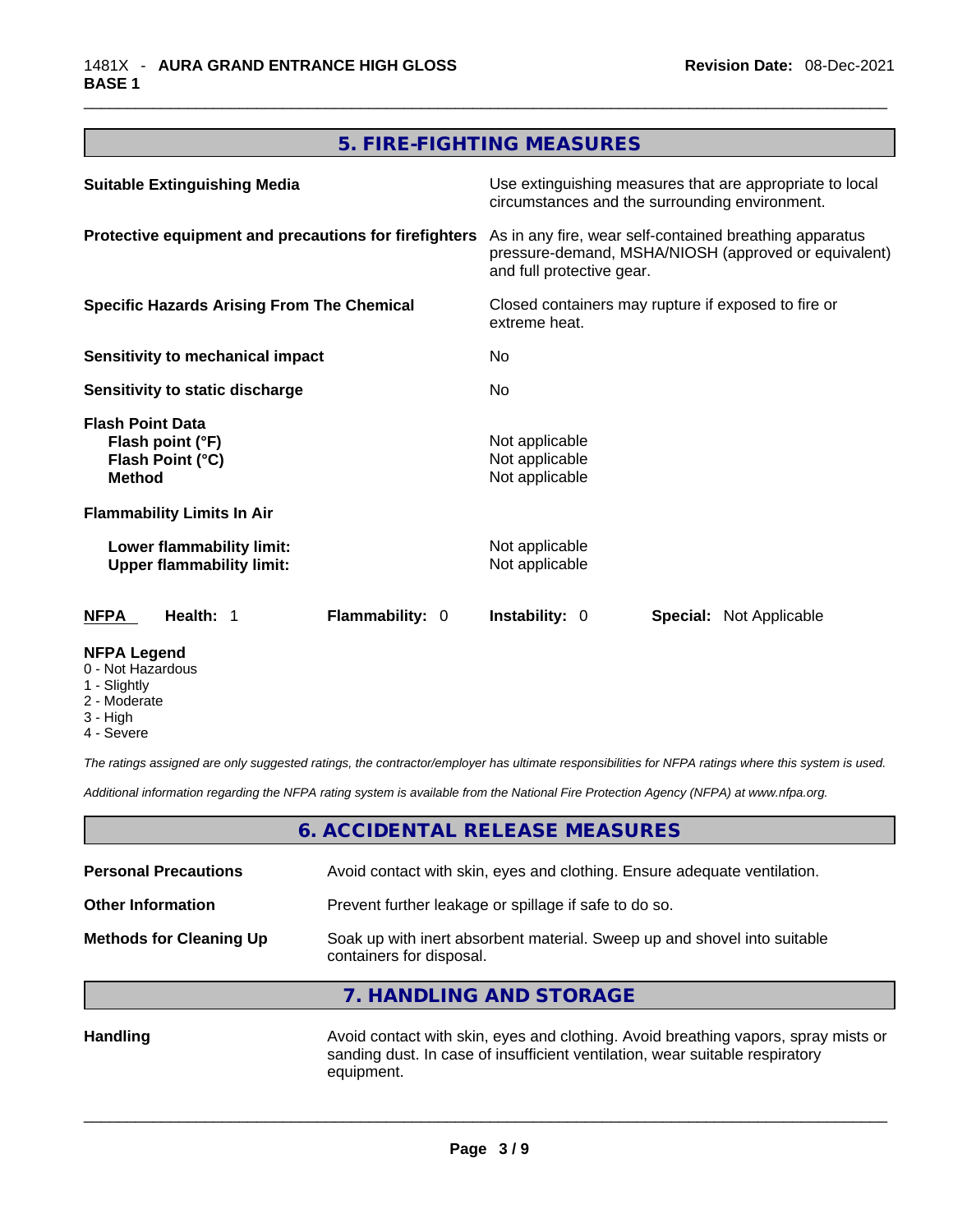#### **5. FIRE-FIGHTING MEASURES**

| <b>Suitable Extinguishing Media</b>                                              | Use extinguishing measures that are appropriate to local<br>circumstances and the surrounding environment.                                   |  |
|----------------------------------------------------------------------------------|----------------------------------------------------------------------------------------------------------------------------------------------|--|
| Protective equipment and precautions for firefighters                            | As in any fire, wear self-contained breathing apparatus<br>pressure-demand, MSHA/NIOSH (approved or equivalent)<br>and full protective gear. |  |
| <b>Specific Hazards Arising From The Chemical</b>                                | Closed containers may rupture if exposed to fire or<br>extreme heat.<br>No.<br>No.                                                           |  |
| Sensitivity to mechanical impact                                                 |                                                                                                                                              |  |
| <b>Sensitivity to static discharge</b>                                           |                                                                                                                                              |  |
| <b>Flash Point Data</b><br>Flash point (°F)<br>Flash Point (°C)<br><b>Method</b> | Not applicable<br>Not applicable<br>Not applicable                                                                                           |  |
| <b>Flammability Limits In Air</b>                                                |                                                                                                                                              |  |
| Lower flammability limit:<br><b>Upper flammability limit:</b>                    | Not applicable<br>Not applicable                                                                                                             |  |
| Flammability: 0<br><b>NFPA</b><br>Health: 1                                      | <b>Instability: 0</b><br><b>Special: Not Applicable</b>                                                                                      |  |
| <b>NFPA Legend</b>                                                               |                                                                                                                                              |  |

- 0 Not Hazardous
- 1 Slightly
- 2 Moderate
- 3 High
- 4 Severe

*The ratings assigned are only suggested ratings, the contractor/employer has ultimate responsibilities for NFPA ratings where this system is used.* 

*Additional information regarding the NFPA rating system is available from the National Fire Protection Agency (NFPA) at www.nfpa.org.* 

#### **6. ACCIDENTAL RELEASE MEASURES**

| <b>Personal Precautions</b>    | Avoid contact with skin, eyes and clothing. Ensure adequate ventilation.                             |
|--------------------------------|------------------------------------------------------------------------------------------------------|
| <b>Other Information</b>       | Prevent further leakage or spillage if safe to do so.                                                |
| <b>Methods for Cleaning Up</b> | Soak up with inert absorbent material. Sweep up and shovel into suitable<br>containers for disposal. |

### **7. HANDLING AND STORAGE**

Handling **Handling Avoid contact with skin, eyes and clothing. Avoid breathing vapors, spray mists or** sanding dust. In case of insufficient ventilation, wear suitable respiratory equipment.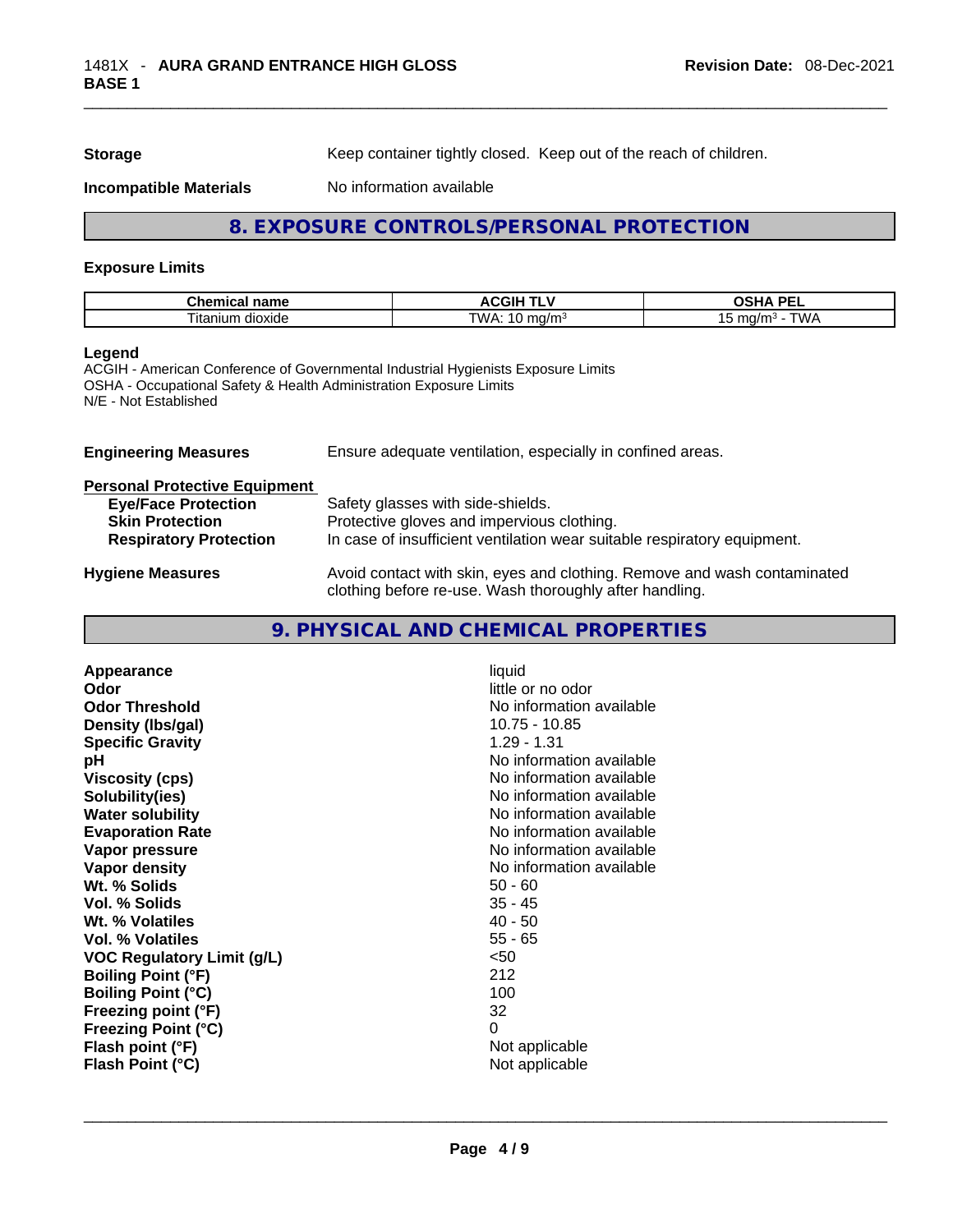**Storage Storage Keep container tightly closed. Keep out of the reach of children.** 

**Incompatible Materials** No information available

#### **8. EXPOSURE CONTROLS/PERSONAL PROTECTION**

#### **Exposure Limits**

| Chemical<br>name               | .<br>-- -<br>. .<br>ACGIF<br>. . | <b>DEI</b><br>.<br>א<br>on.<br>--      |
|--------------------------------|----------------------------------|----------------------------------------|
| $\sim$<br>l Itanium<br>dioxide | TWA.<br>∩/m⊴<br>. .<br>.         | . .<br>NN 4<br>ma<br>10<br><b>TI.I</b> |

#### **Legend**

ACGIH - American Conference of Governmental Industrial Hygienists Exposure Limits OSHA - Occupational Safety & Health Administration Exposure Limits N/E - Not Established

| <b>Engineering Measures</b>          | Ensure adequate ventilation, especially in confined areas.                                                                          |  |
|--------------------------------------|-------------------------------------------------------------------------------------------------------------------------------------|--|
| <b>Personal Protective Equipment</b> |                                                                                                                                     |  |
| <b>Eye/Face Protection</b>           | Safety glasses with side-shields.                                                                                                   |  |
| <b>Skin Protection</b>               | Protective gloves and impervious clothing.                                                                                          |  |
| <b>Respiratory Protection</b>        | In case of insufficient ventilation wear suitable respiratory equipment.                                                            |  |
| <b>Hygiene Measures</b>              | Avoid contact with skin, eyes and clothing. Remove and wash contaminated<br>clothing before re-use. Wash thoroughly after handling. |  |

#### **9. PHYSICAL AND CHEMICAL PROPERTIES**

| 10.75 - 10.85<br>Density (Ibs/gal)<br>$1.29 - 1.31$<br><b>Specific Gravity</b><br>No information available<br>рH<br>No information available<br><b>Viscosity (cps)</b><br>No information available<br>Solubility(ies)<br>No information available<br><b>Water solubility</b><br>No information available<br><b>Evaporation Rate</b><br>No information available<br>Vapor pressure<br>No information available<br><b>Vapor density</b><br>Wt. % Solids<br>$50 - 60$<br>Vol. % Solids<br>$35 - 45$<br>$40 - 50$<br>Wt. % Volatiles<br>$55 - 65$<br>Vol. % Volatiles<br><50<br><b>VOC Regulatory Limit (g/L)</b><br><b>Boiling Point (°F)</b><br>212<br>100<br><b>Boiling Point (°C)</b><br>32<br>Freezing point (°F)<br><b>Freezing Point (°C)</b><br>0<br>Flash point (°F)<br>Not applicable<br>Not applicable<br>Flash Point (°C) |
|-----------------------------------------------------------------------------------------------------------------------------------------------------------------------------------------------------------------------------------------------------------------------------------------------------------------------------------------------------------------------------------------------------------------------------------------------------------------------------------------------------------------------------------------------------------------------------------------------------------------------------------------------------------------------------------------------------------------------------------------------------------------------------------------------------------------------------------|
|-----------------------------------------------------------------------------------------------------------------------------------------------------------------------------------------------------------------------------------------------------------------------------------------------------------------------------------------------------------------------------------------------------------------------------------------------------------------------------------------------------------------------------------------------------------------------------------------------------------------------------------------------------------------------------------------------------------------------------------------------------------------------------------------------------------------------------------|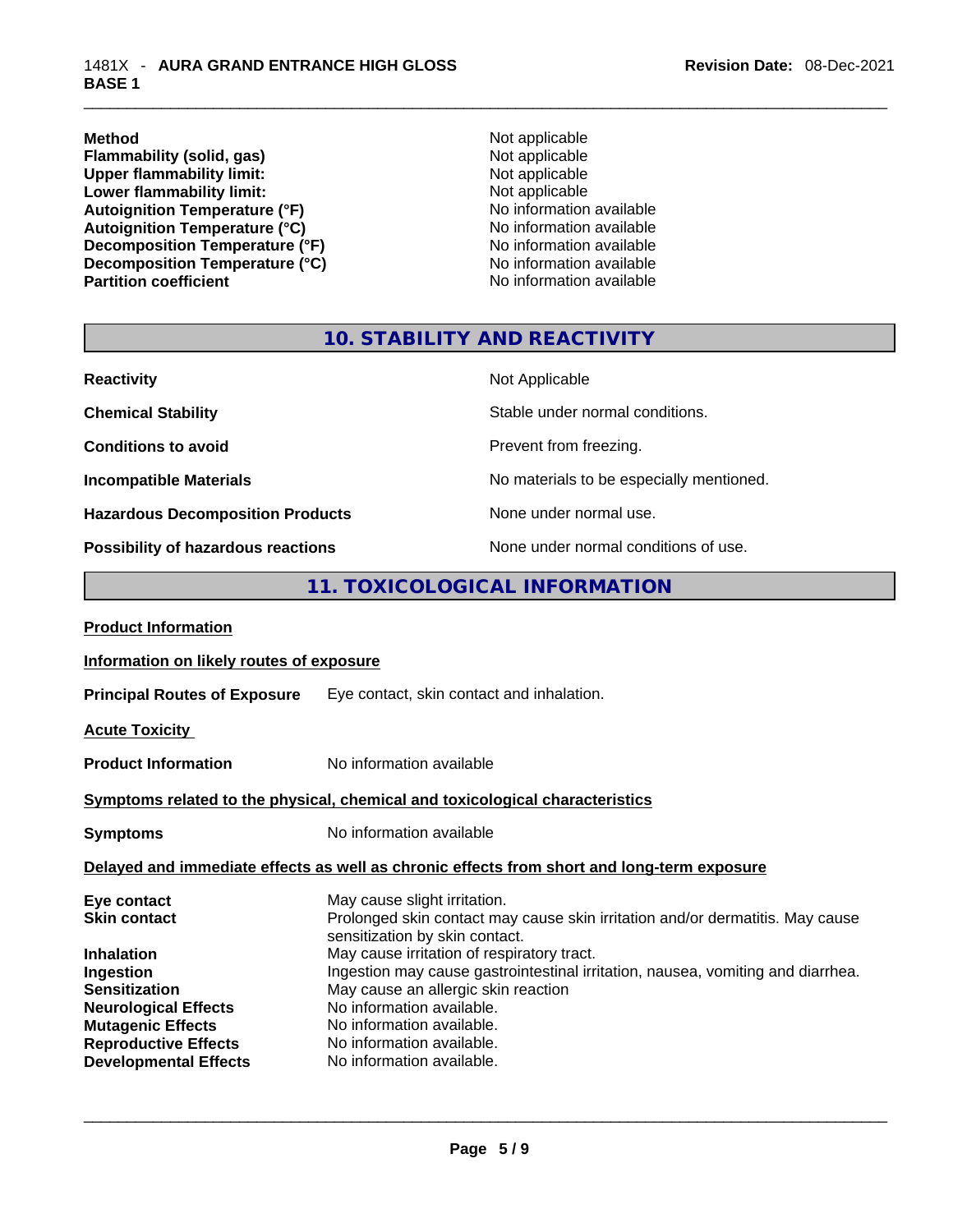**Method Method Not applicable Conserversity** (**solid, gas**) **Not applicable Not applicable Flammability (solid, gas)**<br> **Commability limit:**<br>
Upper flammability limit:<br>
Not applicable Upper flammability limit:<br>
Lower flammability limit:<br>
Not applicable<br>
Not applicable **Lower flammability limit:**<br> **Autoignition Temperature (°F)**<br>
Mo information available Autoignition Temperature (°F)<br>
Autoignition Temperature (°C)<br>
No information available Autoignition Temperature (°C)<br>
Decomposition Temperature (°F)<br>
No information available **Decomposition Temperature (°F) Decomposition Temperature (°C)** No information available

**No information available** 

#### **10. STABILITY AND REACTIVITY**

| <b>Reactivity</b>                       | Not Applicable                           |
|-----------------------------------------|------------------------------------------|
| <b>Chemical Stability</b>               | Stable under normal conditions.          |
| <b>Conditions to avoid</b>              | Prevent from freezing.                   |
| <b>Incompatible Materials</b>           | No materials to be especially mentioned. |
| <b>Hazardous Decomposition Products</b> | None under normal use.                   |
| Possibility of hazardous reactions      | None under normal conditions of use.     |

#### **11. TOXICOLOGICAL INFORMATION**

| <b>Product Information</b>                                                                                                             |  |
|----------------------------------------------------------------------------------------------------------------------------------------|--|
| Information on likely routes of exposure                                                                                               |  |
| <b>Principal Routes of Exposure</b><br>Eye contact, skin contact and inhalation.                                                       |  |
| <b>Acute Toxicity</b>                                                                                                                  |  |
| No information available<br><b>Product Information</b>                                                                                 |  |
| Symptoms related to the physical, chemical and toxicological characteristics                                                           |  |
| No information available<br><b>Symptoms</b>                                                                                            |  |
| Delayed and immediate effects as well as chronic effects from short and long-term exposure                                             |  |
| May cause slight irritation.<br>Eye contact                                                                                            |  |
| Prolonged skin contact may cause skin irritation and/or dermatitis. May cause<br><b>Skin contact</b><br>sensitization by skin contact. |  |
| May cause irritation of respiratory tract.<br><b>Inhalation</b>                                                                        |  |
| Ingestion may cause gastrointestinal irritation, nausea, vomiting and diarrhea.<br>Ingestion                                           |  |
| <b>Sensitization</b><br>May cause an allergic skin reaction                                                                            |  |
| No information available.<br><b>Neurological Effects</b>                                                                               |  |
| No information available.<br><b>Mutagenic Effects</b>                                                                                  |  |
| <b>Reproductive Effects</b><br>No information available.                                                                               |  |
| <b>Developmental Effects</b><br>No information available.                                                                              |  |
|                                                                                                                                        |  |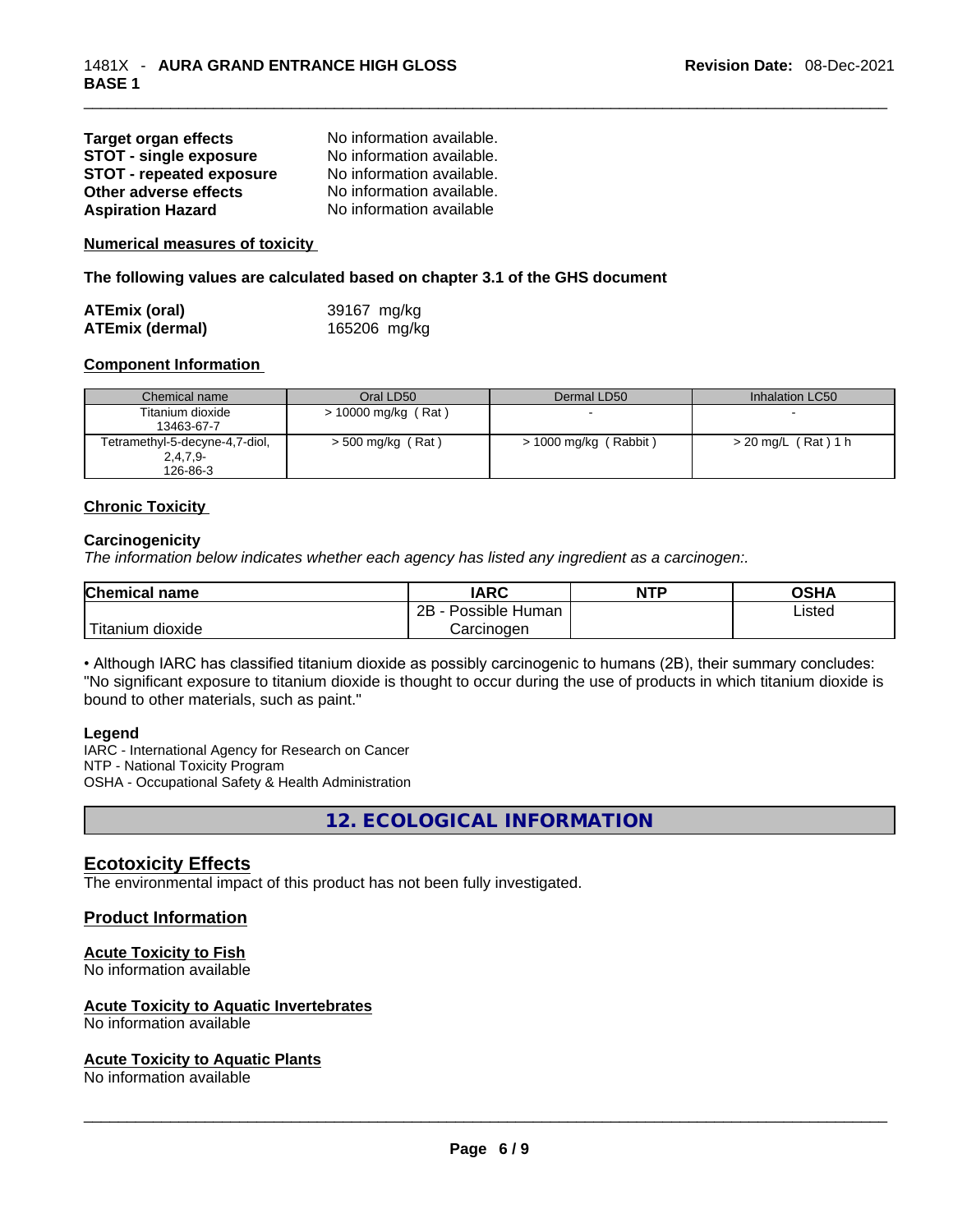| <b>Target organ effects</b>     | No information available. |
|---------------------------------|---------------------------|
| <b>STOT - single exposure</b>   | No information available. |
| <b>STOT - repeated exposure</b> | No information available. |
| Other adverse effects           | No information available. |
| <b>Aspiration Hazard</b>        | No information available  |

**Numerical measures of toxicity**

**The following values are calculated based on chapter 3.1 of the GHS document**

| <b>ATEmix (oral)</b>   | 39167 mg/kg  |
|------------------------|--------------|
| <b>ATEmix (dermal)</b> | 165206 mg/kg |

#### **Component Information**

| Chemical name                  | Oral LD50             | Dermal LD50             | Inhalation LC50     |
|--------------------------------|-----------------------|-------------------------|---------------------|
| Titanium dioxide               | $> 10000$ mg/kg (Rat) |                         |                     |
| 13463-67-7                     |                       |                         |                     |
| Tetramethyl-5-decyne-4,7-diol, | $>$ 500 mg/kg (Rat)   | $> 1000$ mg/kg (Rabbit) | > 20 mg/L (Rat) 1 h |
| $2,4,7,9-$                     |                       |                         |                     |
| 126-86-3                       |                       |                         |                     |

#### **Chronic Toxicity**

#### **Carcinogenicity**

*The information below indicates whether each agency has listed any ingredient as a carcinogen:.* 

| <b>Chemical name</b>    | <b>IARC</b>          | <b>NTP</b> | OSHA   |
|-------------------------|----------------------|------------|--------|
|                         | Possible Human<br>2Β |            | Listed |
| ` Titanium 、<br>dioxide | Carcinoɑen           |            |        |

• Although IARC has classified titanium dioxide as possibly carcinogenic to humans (2B), their summary concludes: "No significant exposure to titanium dioxide is thought to occur during the use of products in which titanium dioxide is bound to other materials, such as paint."

#### **Legend**

IARC - International Agency for Research on Cancer NTP - National Toxicity Program OSHA - Occupational Safety & Health Administration

**12. ECOLOGICAL INFORMATION** 

#### **Ecotoxicity Effects**

The environmental impact of this product has not been fully investigated.

#### **Product Information**

#### **Acute Toxicity to Fish**

No information available

#### **Acute Toxicity to Aquatic Invertebrates**

## No information available \_\_\_\_\_\_\_\_\_\_\_\_\_\_\_\_\_\_\_\_\_\_\_\_\_\_\_\_\_\_\_\_\_\_\_\_\_\_\_\_\_\_\_\_\_\_\_\_\_\_\_\_\_\_\_\_\_\_\_\_\_\_\_\_\_\_\_\_\_\_\_\_\_\_\_\_\_\_\_\_\_\_\_\_\_\_\_\_\_\_\_\_\_ **Acute Toxicity to Aquatic Plants**

No information available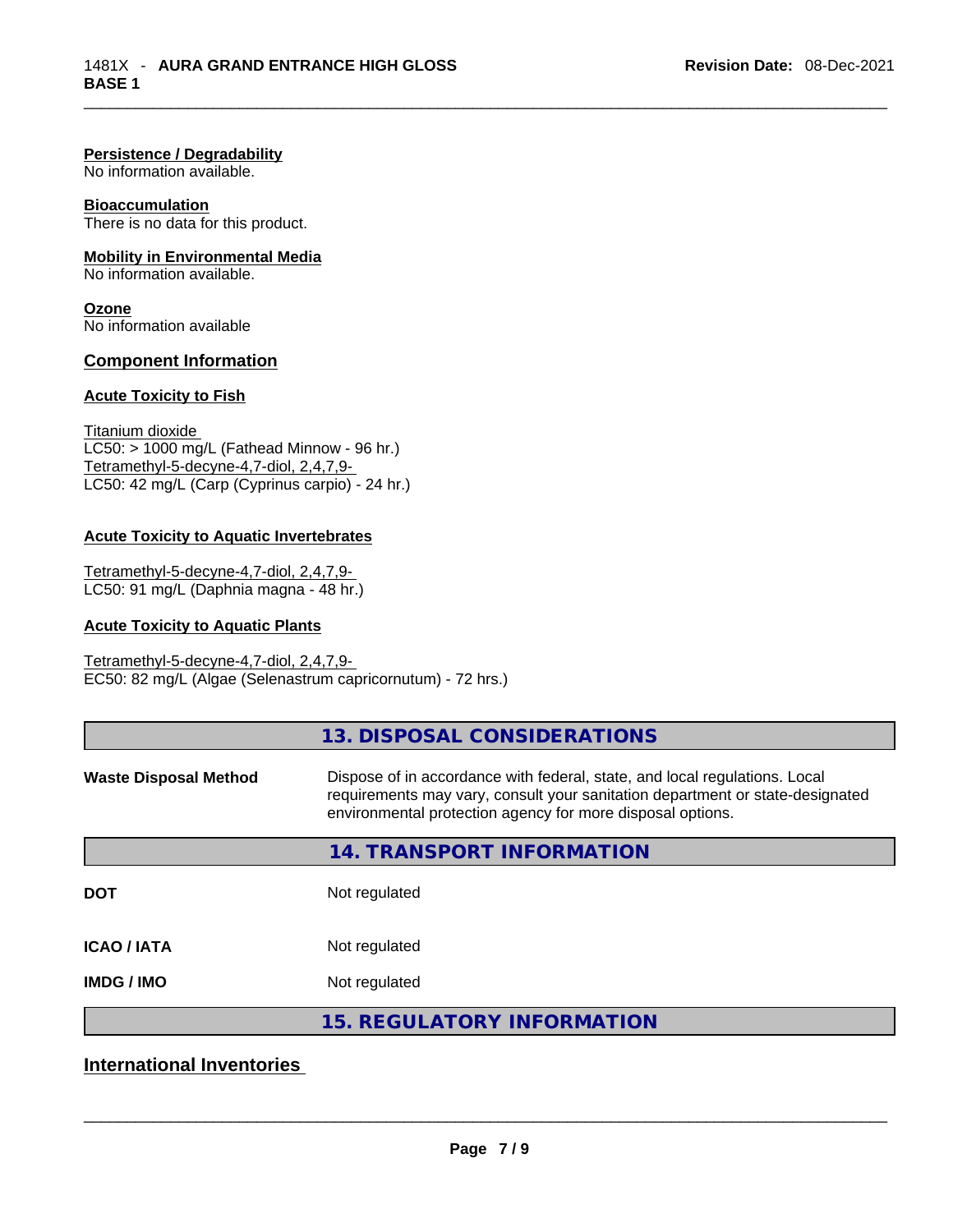#### **Persistence / Degradability**

No information available.

#### **Bioaccumulation**

There is no data for this product.

#### **Mobility in Environmental Media**

No information available.

**Ozone** No information available

#### **Component Information**

#### **Acute Toxicity to Fish**

Titanium dioxide  $LC50:$  > 1000 mg/L (Fathead Minnow - 96 hr.) Tetramethyl-5-decyne-4,7-diol, 2,4,7,9- LC50: 42 mg/L (Carp (Cyprinus carpio) - 24 hr.)

#### **Acute Toxicity to Aquatic Invertebrates**

Tetramethyl-5-decyne-4,7-diol, 2,4,7,9- LC50: 91 mg/L (Daphnia magna - 48 hr.)

#### **Acute Toxicity to Aquatic Plants**

Tetramethyl-5-decyne-4,7-diol, 2,4,7,9- EC50: 82 mg/L (Algae (Selenastrum capricornutum) - 72 hrs.)

|                              | 13. DISPOSAL CONSIDERATIONS                                                                                                                                                                                               |
|------------------------------|---------------------------------------------------------------------------------------------------------------------------------------------------------------------------------------------------------------------------|
| <b>Waste Disposal Method</b> | Dispose of in accordance with federal, state, and local regulations. Local<br>requirements may vary, consult your sanitation department or state-designated<br>environmental protection agency for more disposal options. |
|                              | 14. TRANSPORT INFORMATION                                                                                                                                                                                                 |
| <b>DOT</b>                   | Not regulated                                                                                                                                                                                                             |
| <b>ICAO/IATA</b>             | Not regulated                                                                                                                                                                                                             |
| <b>IMDG / IMO</b>            | Not regulated                                                                                                                                                                                                             |
|                              | <b>15. REGULATORY INFORMATION</b>                                                                                                                                                                                         |

#### **International Inventories**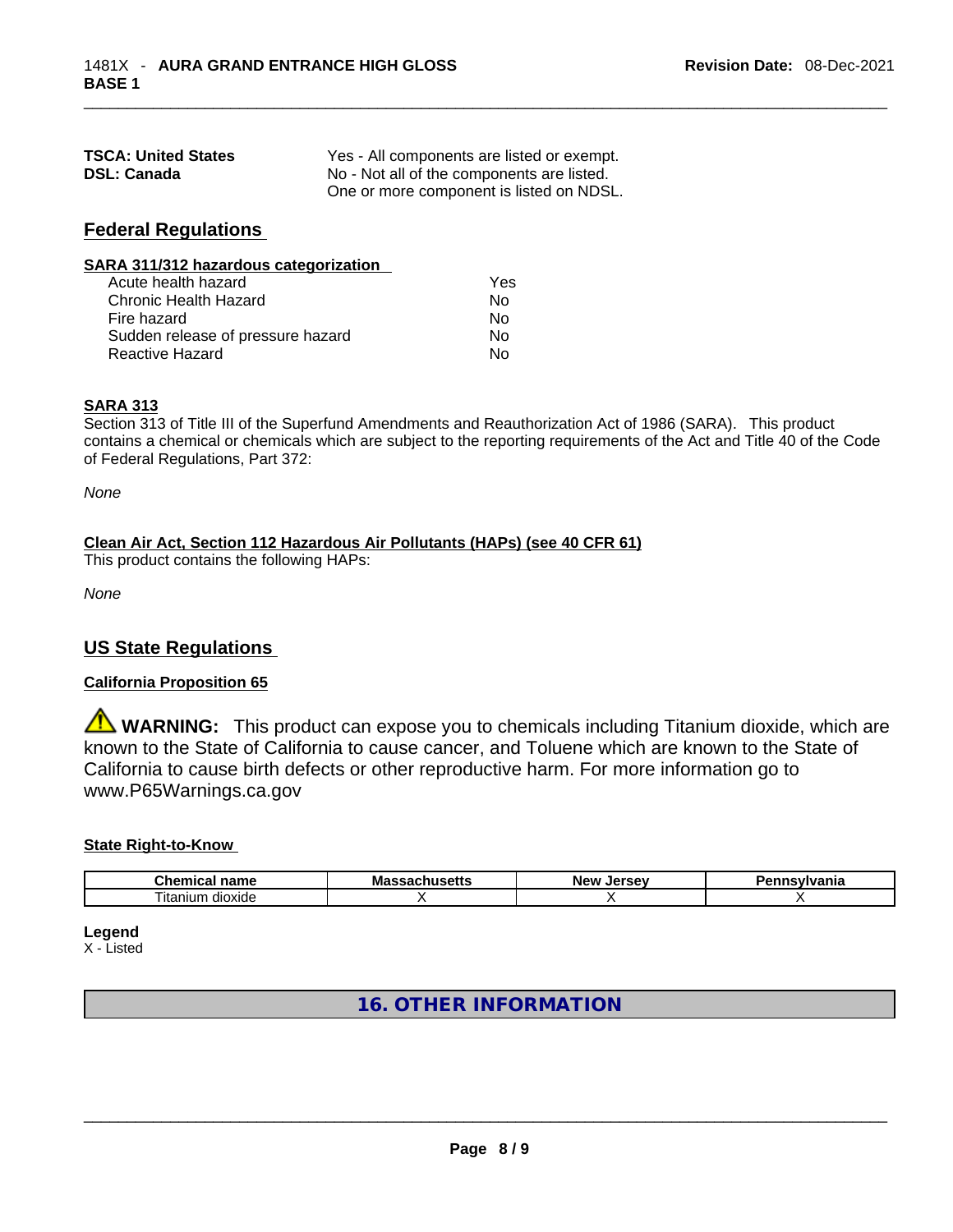| <b>TSCA: United States</b> | Yes - All components are listed or exempt. |
|----------------------------|--------------------------------------------|
| <b>DSL: Canada</b>         | No - Not all of the components are listed. |
|                            | One or more component is listed on NDSL.   |

#### **Federal Regulations**

| SARA 311/312 hazardous categorization |     |  |
|---------------------------------------|-----|--|
| Acute health hazard                   | Yes |  |
| Chronic Health Hazard                 | No  |  |
| Fire hazard                           | No  |  |
| Sudden release of pressure hazard     | No  |  |
| <b>Reactive Hazard</b>                | No  |  |

#### **SARA 313**

Section 313 of Title III of the Superfund Amendments and Reauthorization Act of 1986 (SARA). This product contains a chemical or chemicals which are subject to the reporting requirements of the Act and Title 40 of the Code of Federal Regulations, Part 372:

*None*

#### **Clean Air Act,Section 112 Hazardous Air Pollutants (HAPs) (see 40 CFR 61)**

This product contains the following HAPs:

*None*

#### **US State Regulations**

#### **California Proposition 65**

**A WARNING:** This product can expose you to chemicals including Titanium dioxide, which are known to the State of California to cause cancer, and Toluene which are known to the State of California to cause birth defects or other reproductive harm. For more information go to www.P65Warnings.ca.gov

#### **State Right-to-Know**

| Chemi<br>$   -$<br>паше<br>н.а     | ма<br>. | $-$ <b><math>-</math></b><br><b>Nev</b><br>םו | .<br>нс |
|------------------------------------|---------|-----------------------------------------------|---------|
| --<br>$\sim$<br>dioxide<br>itanium |         |                                               |         |

**Legend**

X - Listed

**16. OTHER INFORMATION**